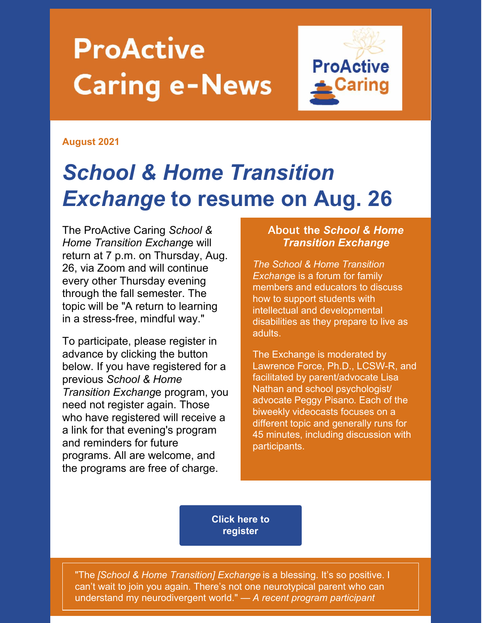# **ProActive Caring e-News**



#### **August 2021**

# *School & Home Transition Exchange* **to resume on Aug. 26**

The ProActive Caring *School & Home Transition Exchang*e will return at 7 p.m. on Thursday, Aug. 26, via Zoom and will continue every other Thursday evening through the fall semester. The topic will be "A return to learning in a stress-free, mindful way."

To participate, please register in advance by clicking the button below. If you have registered for a previous *School & Home Transition Exchang*e program, you need not register again. Those who have registered will receive a a link for that evening's program and reminders for future programs. All are welcome, and the programs are free of charge.

#### About **the** *School & Home Transition Exchange*

*The School & Home Transition Exchang*e is a forum for family members and educators to discuss how to support students with intellectual and developmental disabilities as they prepare to live as adults.

The Exchange is moderated by Lawrence Force, Ph.D., LCSW-R, and facilitated by parent/advocate Lisa Nathan and school psychologist/ advocate Peggy Pisano. Each of the biweekly videocasts focuses on a different topic and generally runs for 45 minutes, including discussion with participants.

**Click here to [register](https://parentnetworkwny.org/events)**

"The *[School & Home Transition] Exchange* is a blessing. It's so positive. I can't wait to join you again. There's not one neurotypical parent who can understand my neurodivergent world." — *A recent program participant*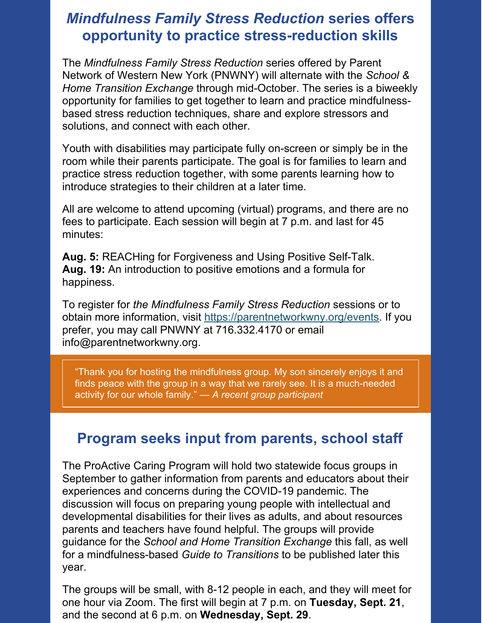#### *Mindfulness Family Stress Reduction* **series offers opportunity to practice stress-reduction skills**

The *Mindfulness Family Stress Reduction* series offered by Parent Network of Western New York (PNWNY) will alternate with the *School & Home Transition Exchange* through mid-October. The series is a biweekly opportunity for families to get together to learn and practice mindfulnessbased stress reduction techniques, share and explore stressors and solutions, and connect with each other.

Youth with disabilities may participate fully on-screen or simply be in the room while their parents participate. The goal is for families to learn and practice stress reduction together, with some parents learning how to introduce strategies to their children at a later time.

All are welcome to attend upcoming (virtual) programs, and there are no fees to participate. Each session will begin at 7 p.m. and last for 45 minutes:

**Aug. 5:** REACHing for Forgiveness and Using Positive Self-Talk. **Aug. 19:** An introduction to positive emotions and a formula for happiness.

To register for *the Mindfulness Family Stress Reduction* sessions or to obtain more information, visit <https://parentnetworkwny.org/events>. If you prefer, you may call PNWNY at 716.332.4170 or email info@parentnetworkwny.org.

"Thank you for hosting the mindfulness group. My son sincerely enjoys it and finds peace with the group in a way that we rarely see. It is a much-needed activity for our whole family." *— A recent group participant*

#### **Program seeks input from parents, school staff**

The ProActive Caring Program will hold two statewide focus groups in September to gather information from parents and educators about their experiences and concerns during the COVID-19 pandemic. The discussion will focus on preparing young people with intellectual and developmental disabilities for their lives as adults, and about resources parents and teachers have found helpful. The groups will provide guidance for the *School and Home Transition Exchange* this fall, as well for a mindfulness-based *Guide to Transitions* to be published later this year.

The groups will be small, with 8-12 people in each, and they will meet for one hour via Zoom. The first will begin at 7 p.m. on **Tuesday, Sept. 21**, and the second at 6 p.m. on **Wednesday, Sept. 29**.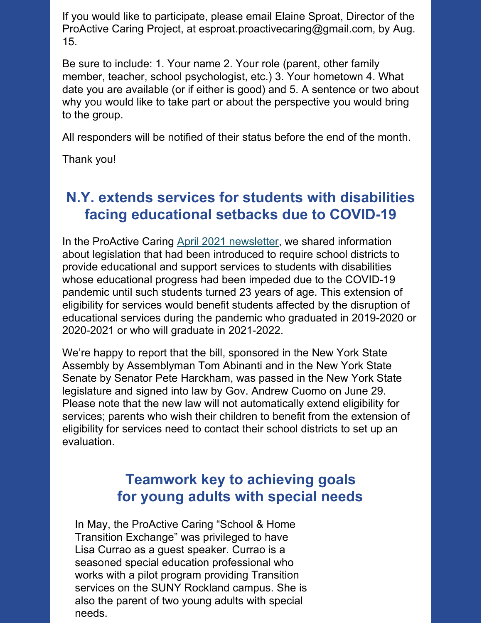If you would like to participate, please email Elaine Sproat, Director of the ProActive Caring Project, at esproat.proactivecaring@gmail.com, by Aug. 15.

Be sure to include: 1. Your name 2. Your role (parent, other family member, teacher, school psychologist, etc.) 3. Your hometown 4. What date you are available (or if either is good) and 5. A sentence or two about why you would like to take part or about the perspective you would bring to the group.

All responders will be notified of their status before the end of the month.

Thank you!

## **N.Y. extends services for students with disabilities facing educational setbacks due to COVID-19**

In the ProActive Caring April 2021 [newsletter](https://dc82432b-2952-4d48-b6f0-5d086f7307d4.filesusr.com/ugd/5fe66f_cf75dcb674fd46ebbb0268915552e808.pdf), we shared information about legislation that had been introduced to require school districts to provide educational and support services to students with disabilities whose educational progress had been impeded due to the COVID-19 pandemic until such students turned 23 years of age. This extension of eligibility for services would benefit students affected by the disruption of educational services during the pandemic who graduated in 2019-2020 or 2020-2021 or who will graduate in 2021-2022.

We're happy to report that the bill, sponsored in the New York State Assembly by Assemblyman Tom Abinanti and in the New York State Senate by Senator Pete Harckham, was passed in the New York State legislature and signed into law by Gov. Andrew Cuomo on June 29. Please note that the new law will not automatically extend eligibility for services; parents who wish their children to benefit from the extension of eligibility for services need to contact their school districts to set up an evaluation.

### **Teamwork key to achieving goals for young adults with special needs**

In May, the ProActive Caring "School & Home Transition Exchange" was privileged to have Lisa Currao as a guest speaker. Currao is a seasoned special education professional who works with a pilot program providing Transition services on the SUNY Rockland campus. She is also the parent of two young adults with special needs.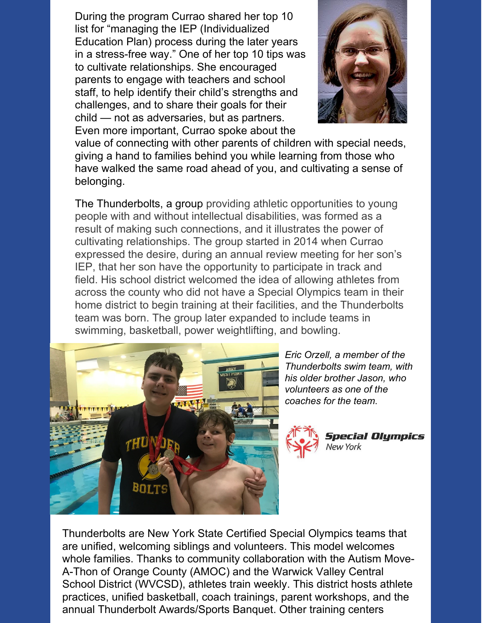During the program Currao shared her top 10 list for "managing the IEP (Individualized Education Plan) process during the later years in a stress-free way." One of her top 10 tips was to cultivate relationships. She encouraged parents to engage with teachers and school staff, to help identify their child's strengths and challenges, and to share their goals for their child — not as adversaries, but as partners. Even more important, Currao spoke about the



value of connecting with other parents of children with special needs, giving a hand to families behind you while learning from those who have walked the same road ahead of you, and cultivating a sense of belonging.

The Thunderbolts, a group providing athletic opportunities to young people with and without intellectual disabilities, was formed as a result of making such connections, and it illustrates the power of cultivating relationships. The group started in 2014 when Currao expressed the desire, during an annual review meeting for her son's IEP, that her son have the opportunity to participate in track and field. His school district welcomed the idea of allowing athletes from across the county who did not have a Special Olympics team in their home district to begin training at their facilities, and the Thunderbolts team was born. The group later expanded to include teams in swimming, basketball, power weightlifting, and bowling.



*Eric Orzell, a member of the Thunderbolts swim team, with his older brother Jason, who volunteers as one of the coaches for the team*.



Thunderbolts are New York State Certified Special Olympics teams that are unified, welcoming siblings and volunteers. This model welcomes whole families. Thanks to community collaboration with the Autism Move-A-Thon of Orange County (AMOC) and the Warwick Valley Central School District (WVCSD), athletes train weekly. This district hosts athlete practices, unified basketball, coach trainings, parent workshops, and the annual Thunderbolt Awards/Sports Banquet. Other training centers